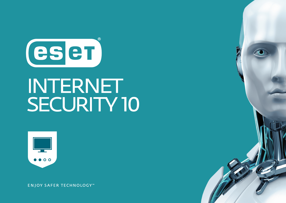

# **INTERNET** SECURITY 10



**ENJOY SAFER TECHNOLOGY™**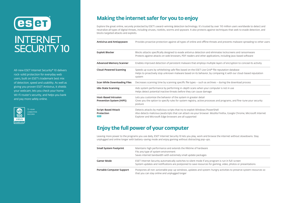

# **INTERNET SECURITY 10**

All-new ESET Internet Security® 10 delivers rock-solid protection for everyday web users, built on ESET's trademark best mix of detection, speed and usability. As well as giving you proven ESET Antivirus, it shields your webcam, lets you check your home Wi-Fi router's security, and helps you bank and pay more safely online.



# **Making the internet safer for you to enjoy**

Explore the great online, securely protected by ESET's award-winning detection technology. It's trusted by over 110 million users worldwide to detect and neutralize all types of digital threats, including viruses, rootkits, worms and spyware. It also protects against techniques that seek to evade detection, and blocks targeted attacks and exploits.

| <b>Antivirus and Antispyware</b>                        | Provides proactive protection against all types of online and offline threats and prevents malware spreading to other users                                                                                                                                      |
|---------------------------------------------------------|------------------------------------------------------------------------------------------------------------------------------------------------------------------------------------------------------------------------------------------------------------------|
| <b>Exploit Blocker</b>                                  | Blocks attacks specifically designed to evade antivirus detection and eliminates lockscreens and ransomware<br>Protects against attacks on web browsers, PDF readers and other applications, including Java-based software                                       |
| <b>Advanced Memory Scanner</b>                          | Enables improved detection of persistent malware that employs multiple layers of encryption to conceal its activity                                                                                                                                              |
| <b>Cloud-Powered Scanning</b>                           | Speeds up scans by whitelisting safe files based on the ESET Live Grid® file reputation database<br>Helps to proactively stop unknown malware based on its behavior, by comparing it with our cloud-based reputation<br>system                                   |
| <b>Scan While Downloading Files</b>                     | Decreases scanning time by scanning specific file types – such as archives – during the download process                                                                                                                                                         |
| <b>Idle-State Scanning</b>                              | Aids system performance by performing in-depth scans when your computer is not in use<br>Helps detect potential inactive threats before they can cause damage                                                                                                    |
| <b>Host-Based Intrusion</b><br>Prevention System (HIPS) | Lets you customize the behavior of the system in greater detail<br>Gives you the option to specify rules for system registry, active processes and programs, and fine-tune your security<br>posture                                                              |
| Script-Based Attack<br>Protection<br><b>NEW</b>         | Detects attacks by malicious scripts that try to exploit Windows PowerShell<br>Also detects malicious JavaScripts that can attack via your browser. Mozilla Firefox, Google Chrome, Microsoft Internet<br>Explorer and Microsoft Edge browsers are all supported |

#### **Enjoy the full power of your computer**

Leaving more power to the programs you use daily, ESET Internet Security 10 lets you play, work and browse the internet without slowdowns. Stay unplugged and online longer with battery-saving mode and enjoy gaming without distracting pop-ups.

| <b>Small System Footprint</b> | Maintains high performance and extends the lifetime of hardware<br>Fits any type of system environment<br>Saves internet bandwidth with extremely small update packages                                          |
|-------------------------------|------------------------------------------------------------------------------------------------------------------------------------------------------------------------------------------------------------------|
| <b>Gamer Mode</b>             | ESET Internet Security automatically switches to silent mode if any program is run in full-screen<br>System updates and notifications are postponed to save resources for gaming, video, photos or presentations |
| Portable Computer Support     | Postpones all non-actionable pop-up windows, updates and system-hungry activities to preserve system resources so<br>that you can stay online and unplugged longer                                               |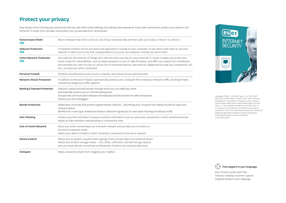## **Protect your privacy**

Stop hackers from misusing your passwords and stay safe while online banking and making online payments. Enjoy safer connections, protect your webcam and home Wi-Fi router from intruders, and protect your private data from ransomware.

| <b>Ransomware Shield</b><br><b>NEW</b>       | Blocks malware that tries to lock you out of your personal data and then asks you to pay a 'ransom' to unlock it.                                                                                                                                                                                                                                                                                                         |
|----------------------------------------------|---------------------------------------------------------------------------------------------------------------------------------------------------------------------------------------------------------------------------------------------------------------------------------------------------------------------------------------------------------------------------------------------------------------------------|
| <b>Webcam Protection</b><br><b>NEW</b>       | Constantly monitors all the processes and applications running on your computer, to see which ones want to use your<br>webcam. It alerts you to any that unexpectedly try to access your webcam, and lets you block them.                                                                                                                                                                                                 |
| <b>Home Network Protection</b><br><b>NEW</b> | Get ready for the Internet of Things (IoT) with this extra security for your home Wi-Fi router. Enables you to test your<br>home router for vulnerabilities, such as weak password or out-of-date firmware, and offers you options for remediation.<br>Also provides you with an easy-to-access list of connected devices, with devices categorized by type (e.g. smartphone, IoT,<br>etc.), to show you who's connected. |
| <b>Personal Firewall</b>                     | Prevents unauthorized access to your computer and misuse of your personal data                                                                                                                                                                                                                                                                                                                                            |
| <b>Network Attack Protection</b>             | In addition to Personal Firewall, automatically protects your computer from malicious network traffic, blocking threats<br>revealed by dangerous traffic patterns                                                                                                                                                                                                                                                         |
| <b>Banking &amp; Payment Protection</b>      | Features a special secured browser through which you can safely pay online<br>Automatically protects you on internet banking sites<br>Encrypts the communication between the keyboard and the browser for safer transactions<br>Protects you from keyloggers                                                                                                                                                              |
| <b>Botnet Protection</b>                     | Added layer of security that protects against botnet malware – preventing your computer from being misused for spam and<br>network attacks<br>Benefit from a new type of detection thanks to Network Signatures, for even faster blocking of malicious traffic                                                                                                                                                            |
| Anti-Phishing                                | Protects you from attempts to acquire sensitive information such as usernames, passwords or other sensitive personal<br>details by fake websites masquerading as trustworthy ones                                                                                                                                                                                                                                         |
| <b>Out-of-Home Network</b>                   | Alerts you when connecting to an unknown network and prompts you to switch to<br>the Strict Protection mode<br>Makes your device invisible to other computers connected to the same network                                                                                                                                                                                                                               |
| <b>Device Control</b>                        | Allows you to prevent unauthorized copying of your private data to an external device<br>Allows you to block storage media - CDs, DVDs, USB sticks, and disk storage devices<br>Lets you block devices connecting via Bluetooth, FireWire and serial/parallel ports                                                                                                                                                       |
| Antispam                                     | Keeps unwanted emails from clogging your mailbox                                                                                                                                                                                                                                                                                                                                                                          |



Copyright © 1992 – 2016 ESET, spol. s r. o. ESET, ESET logo, ESET android figure, NOD32, ESET Smart Security, SysInspector, ThreatSense, ThreatSense.Net, LiveGrid, LiveGrid logo and/or other mentioned products of ESET, spol. s r. o., are registered trademarks of ESET, spol. s r. o. Windows® is a trademark of the Microsoft group of companies. Other here mentioned companies or products might be registered trademarks of their proprietors. Produced according to quality standards of ISO 9001:2008.



Each license comes with free, industry-leading customer support, supplied locally in your language.